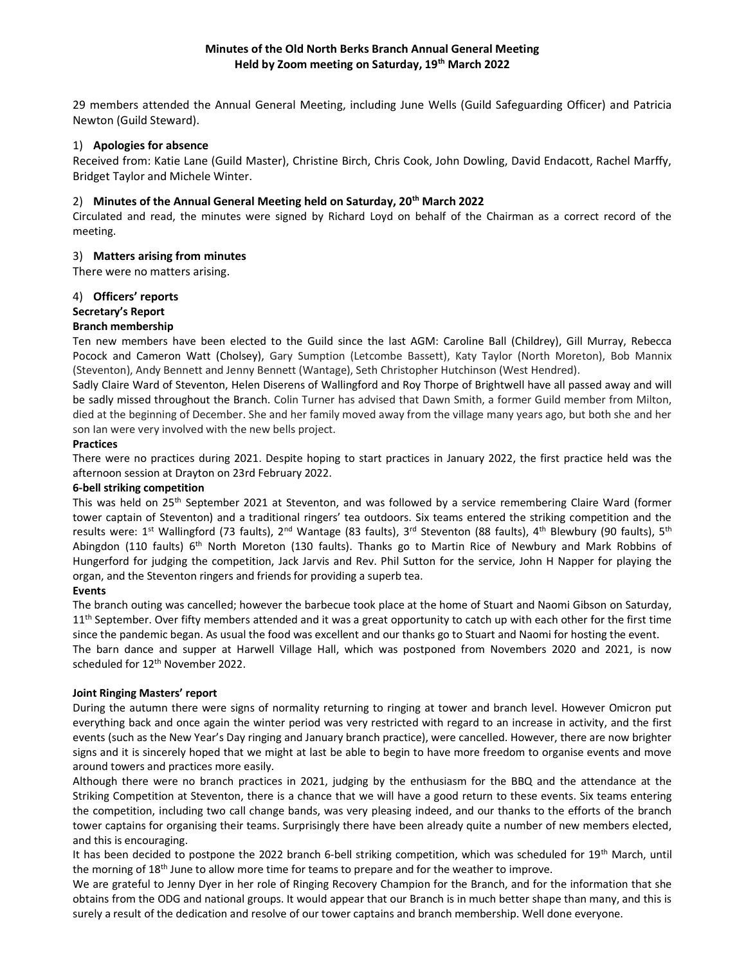# Minutes of the Old North Berks Branch Annual General Meeting Held by Zoom meeting on Saturday, 19<sup>th</sup> March 2022

29 members attended the Annual General Meeting, including June Wells (Guild Safeguarding Officer) and Patricia Newton (Guild Steward).

### 1) Apologies for absence

Received from: Katie Lane (Guild Master), Christine Birch, Chris Cook, John Dowling, David Endacott, Rachel Marffy, Bridget Taylor and Michele Winter.

## 2) Minutes of the Annual General Meeting held on Saturday, 20<sup>th</sup> March 2022

Circulated and read, the minutes were signed by Richard Loyd on behalf of the Chairman as a correct record of the meeting.

### 3) Matters arising from minutes

There were no matters arising.

### 4) Officers' reports

### Secretary's Report

### Branch membership

Ten new members have been elected to the Guild since the last AGM: Caroline Ball (Childrey), Gill Murray, Rebecca Pocock and Cameron Watt (Cholsey), Gary Sumption (Letcombe Bassett), Katy Taylor (North Moreton), Bob Mannix (Steventon), Andy Bennett and Jenny Bennett (Wantage), Seth Christopher Hutchinson (West Hendred).

Sadly Claire Ward of Steventon, Helen Diserens of Wallingford and Roy Thorpe of Brightwell have all passed away and will be sadly missed throughout the Branch. Colin Turner has advised that Dawn Smith, a former Guild member from Milton, died at the beginning of December. She and her family moved away from the village many years ago, but both she and her son Ian were very involved with the new bells project.

### Practices

There were no practices during 2021. Despite hoping to start practices in January 2022, the first practice held was the afternoon session at Drayton on 23rd February 2022.

#### 6-bell striking competition

This was held on 25<sup>th</sup> September 2021 at Steventon, and was followed by a service remembering Claire Ward (former tower captain of Steventon) and a traditional ringers' tea outdoors. Six teams entered the striking competition and the results were: 1<sup>st</sup> Wallingford (73 faults), 2<sup>nd</sup> Wantage (83 faults), 3<sup>rd</sup> Steventon (88 faults), 4<sup>th</sup> Blewbury (90 faults), 5<sup>th</sup> Abingdon (110 faults) 6<sup>th</sup> North Moreton (130 faults). Thanks go to Martin Rice of Newbury and Mark Robbins of Hungerford for judging the competition, Jack Jarvis and Rev. Phil Sutton for the service, John H Napper for playing the organ, and the Steventon ringers and friends for providing a superb tea.

## Events

The branch outing was cancelled; however the barbecue took place at the home of Stuart and Naomi Gibson on Saturday,  $11<sup>th</sup>$  September. Over fifty members attended and it was a great opportunity to catch up with each other for the first time since the pandemic began. As usual the food was excellent and our thanks go to Stuart and Naomi for hosting the event. The barn dance and supper at Harwell Village Hall, which was postponed from Novembers 2020 and 2021, is now scheduled for 12<sup>th</sup> November 2022.

#### Joint Ringing Masters' report

During the autumn there were signs of normality returning to ringing at tower and branch level. However Omicron put everything back and once again the winter period was very restricted with regard to an increase in activity, and the first events (such as the New Year's Day ringing and January branch practice), were cancelled. However, there are now brighter signs and it is sincerely hoped that we might at last be able to begin to have more freedom to organise events and move around towers and practices more easily.

Although there were no branch practices in 2021, judging by the enthusiasm for the BBQ and the attendance at the Striking Competition at Steventon, there is a chance that we will have a good return to these events. Six teams entering the competition, including two call change bands, was very pleasing indeed, and our thanks to the efforts of the branch tower captains for organising their teams. Surprisingly there have been already quite a number of new members elected, and this is encouraging.

It has been decided to postpone the 2022 branch 6-bell striking competition, which was scheduled for 19<sup>th</sup> March, until the morning of 18<sup>th</sup> June to allow more time for teams to prepare and for the weather to improve.

We are grateful to Jenny Dyer in her role of Ringing Recovery Champion for the Branch, and for the information that she obtains from the ODG and national groups. It would appear that our Branch is in much better shape than many, and this is surely a result of the dedication and resolve of our tower captains and branch membership. Well done everyone.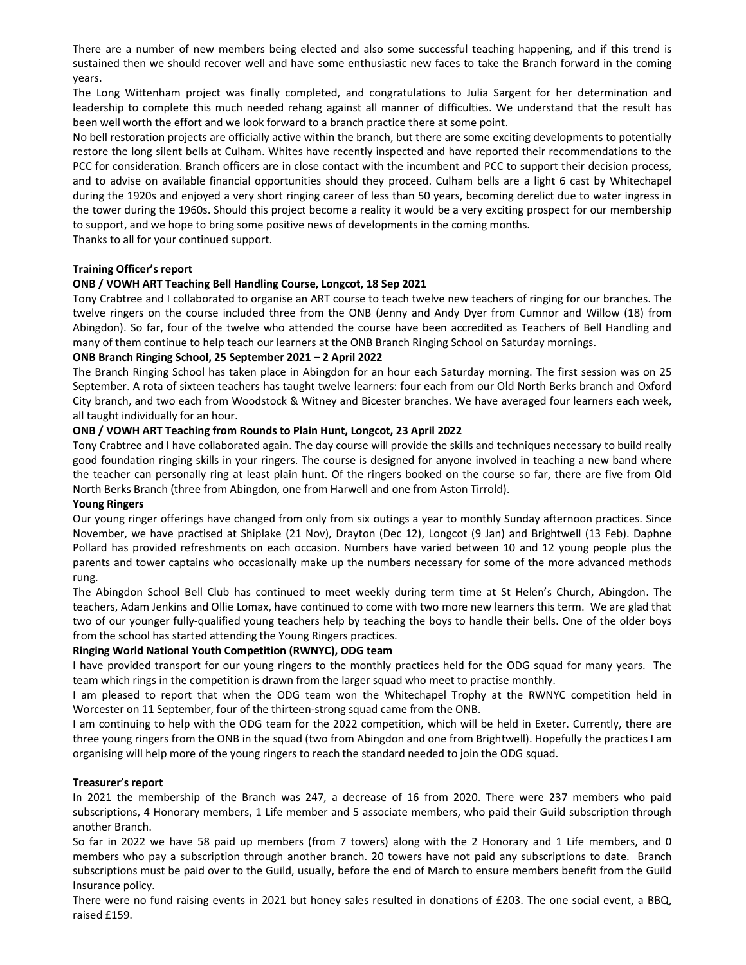There are a number of new members being elected and also some successful teaching happening, and if this trend is sustained then we should recover well and have some enthusiastic new faces to take the Branch forward in the coming years.

The Long Wittenham project was finally completed, and congratulations to Julia Sargent for her determination and leadership to complete this much needed rehang against all manner of difficulties. We understand that the result has been well worth the effort and we look forward to a branch practice there at some point.

No bell restoration projects are officially active within the branch, but there are some exciting developments to potentially restore the long silent bells at Culham. Whites have recently inspected and have reported their recommendations to the PCC for consideration. Branch officers are in close contact with the incumbent and PCC to support their decision process, and to advise on available financial opportunities should they proceed. Culham bells are a light 6 cast by Whitechapel during the 1920s and enjoyed a very short ringing career of less than 50 years, becoming derelict due to water ingress in the tower during the 1960s. Should this project become a reality it would be a very exciting prospect for our membership to support, and we hope to bring some positive news of developments in the coming months.

Thanks to all for your continued support.

## Training Officer's report

### ONB / VOWH ART Teaching Bell Handling Course, Longcot, 18 Sep 2021

Tony Crabtree and I collaborated to organise an ART course to teach twelve new teachers of ringing for our branches. The twelve ringers on the course included three from the ONB (Jenny and Andy Dyer from Cumnor and Willow (18) from Abingdon). So far, four of the twelve who attended the course have been accredited as Teachers of Bell Handling and many of them continue to help teach our learners at the ONB Branch Ringing School on Saturday mornings.

### ONB Branch Ringing School, 25 September 2021 – 2 April 2022

The Branch Ringing School has taken place in Abingdon for an hour each Saturday morning. The first session was on 25 September. A rota of sixteen teachers has taught twelve learners: four each from our Old North Berks branch and Oxford City branch, and two each from Woodstock & Witney and Bicester branches. We have averaged four learners each week, all taught individually for an hour.

### ONB / VOWH ART Teaching from Rounds to Plain Hunt, Longcot, 23 April 2022

Tony Crabtree and I have collaborated again. The day course will provide the skills and techniques necessary to build really good foundation ringing skills in your ringers. The course is designed for anyone involved in teaching a new band where the teacher can personally ring at least plain hunt. Of the ringers booked on the course so far, there are five from Old North Berks Branch (three from Abingdon, one from Harwell and one from Aston Tirrold).

#### Young Ringers

Our young ringer offerings have changed from only from six outings a year to monthly Sunday afternoon practices. Since November, we have practised at Shiplake (21 Nov), Drayton (Dec 12), Longcot (9 Jan) and Brightwell (13 Feb). Daphne Pollard has provided refreshments on each occasion. Numbers have varied between 10 and 12 young people plus the parents and tower captains who occasionally make up the numbers necessary for some of the more advanced methods rung.

The Abingdon School Bell Club has continued to meet weekly during term time at St Helen's Church, Abingdon. The teachers, Adam Jenkins and Ollie Lomax, have continued to come with two more new learners this term. We are glad that two of our younger fully-qualified young teachers help by teaching the boys to handle their bells. One of the older boys from the school has started attending the Young Ringers practices.

## Ringing World National Youth Competition (RWNYC), ODG team

I have provided transport for our young ringers to the monthly practices held for the ODG squad for many years. The team which rings in the competition is drawn from the larger squad who meet to practise monthly.

I am pleased to report that when the ODG team won the Whitechapel Trophy at the RWNYC competition held in Worcester on 11 September, four of the thirteen-strong squad came from the ONB.

I am continuing to help with the ODG team for the 2022 competition, which will be held in Exeter. Currently, there are three young ringers from the ONB in the squad (two from Abingdon and one from Brightwell). Hopefully the practices I am organising will help more of the young ringers to reach the standard needed to join the ODG squad.

#### Treasurer's report

In 2021 the membership of the Branch was 247, a decrease of 16 from 2020. There were 237 members who paid subscriptions, 4 Honorary members, 1 Life member and 5 associate members, who paid their Guild subscription through another Branch.

So far in 2022 we have 58 paid up members (from 7 towers) along with the 2 Honorary and 1 Life members, and 0 members who pay a subscription through another branch. 20 towers have not paid any subscriptions to date. Branch subscriptions must be paid over to the Guild, usually, before the end of March to ensure members benefit from the Guild Insurance policy.

There were no fund raising events in 2021 but honey sales resulted in donations of £203. The one social event, a BBQ, raised £159.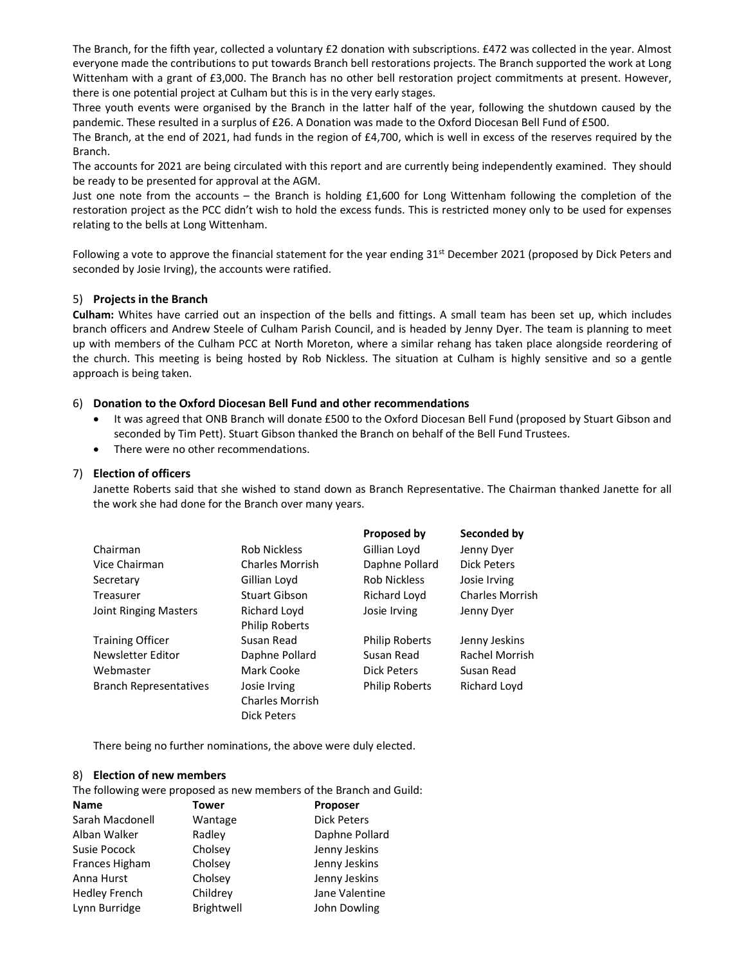The Branch, for the fifth year, collected a voluntary £2 donation with subscriptions. £472 was collected in the year. Almost everyone made the contributions to put towards Branch bell restorations projects. The Branch supported the work at Long Wittenham with a grant of £3,000. The Branch has no other bell restoration project commitments at present. However, there is one potential project at Culham but this is in the very early stages.

Three youth events were organised by the Branch in the latter half of the year, following the shutdown caused by the pandemic. These resulted in a surplus of £26. A Donation was made to the Oxford Diocesan Bell Fund of £500.

The Branch, at the end of 2021, had funds in the region of £4,700, which is well in excess of the reserves required by the Branch.

The accounts for 2021 are being circulated with this report and are currently being independently examined. They should be ready to be presented for approval at the AGM.

Just one note from the accounts – the Branch is holding  $£1,600$  for Long Wittenham following the completion of the restoration project as the PCC didn't wish to hold the excess funds. This is restricted money only to be used for expenses relating to the bells at Long Wittenham.

Following a vote to approve the financial statement for the year ending 31<sup>st</sup> December 2021 (proposed by Dick Peters and seconded by Josie Irving), the accounts were ratified.

#### 5) Projects in the Branch

Culham: Whites have carried out an inspection of the bells and fittings. A small team has been set up, which includes branch officers and Andrew Steele of Culham Parish Council, and is headed by Jenny Dyer. The team is planning to meet up with members of the Culham PCC at North Moreton, where a similar rehang has taken place alongside reordering of the church. This meeting is being hosted by Rob Nickless. The situation at Culham is highly sensitive and so a gentle approach is being taken.

#### 6) Donation to the Oxford Diocesan Bell Fund and other recommendations

- It was agreed that ONB Branch will donate £500 to the Oxford Diocesan Bell Fund (proposed by Stuart Gibson and seconded by Tim Pett). Stuart Gibson thanked the Branch on behalf of the Bell Fund Trustees.
- There were no other recommendations.

### 7) Election of officers

Janette Roberts said that she wished to stand down as Branch Representative. The Chairman thanked Janette for all the work she had done for the Branch over many years.

|                               |                        | Proposed by           | Seconded by            |
|-------------------------------|------------------------|-----------------------|------------------------|
| Chairman                      | <b>Rob Nickless</b>    | Gillian Loyd          | Jenny Dyer             |
| Vice Chairman                 | <b>Charles Morrish</b> | Daphne Pollard        | Dick Peters            |
| Secretary                     | Gillian Loyd           | <b>Rob Nickless</b>   | Josie Irving           |
| Treasurer                     | Stuart Gibson          | <b>Richard Loyd</b>   | <b>Charles Morrish</b> |
| Joint Ringing Masters         | Richard Loyd           | Josie Irving          | Jenny Dyer             |
|                               | <b>Philip Roberts</b>  |                       |                        |
| <b>Training Officer</b>       | Susan Read             | <b>Philip Roberts</b> | Jenny Jeskins          |
| Newsletter Editor             | Daphne Pollard         | Susan Read            | <b>Rachel Morrish</b>  |
| Webmaster                     | Mark Cooke             | Dick Peters           | Susan Read             |
| <b>Branch Representatives</b> | Josie Irving           | <b>Philip Roberts</b> | Richard Loyd           |
|                               | <b>Charles Morrish</b> |                       |                        |
|                               | <b>Dick Peters</b>     |                       |                        |

There being no further nominations, the above were duly elected.

#### 8) Election of new members

The following were proposed as new members of the Branch and Guild:

| <b>Name</b>          | Tower      | Proposer           |
|----------------------|------------|--------------------|
| Sarah Macdonell      | Wantage    | <b>Dick Peters</b> |
| Alban Walker         | Radley     | Daphne Pollard     |
| Susie Pocock         | Cholsey    | Jenny Jeskins      |
| Frances Higham       | Cholsey    | Jenny Jeskins      |
| Anna Hurst           | Cholsey    | Jenny Jeskins      |
| <b>Hedley French</b> | Childrey   | Jane Valentine     |
| Lynn Burridge        | Brightwell | John Dowling       |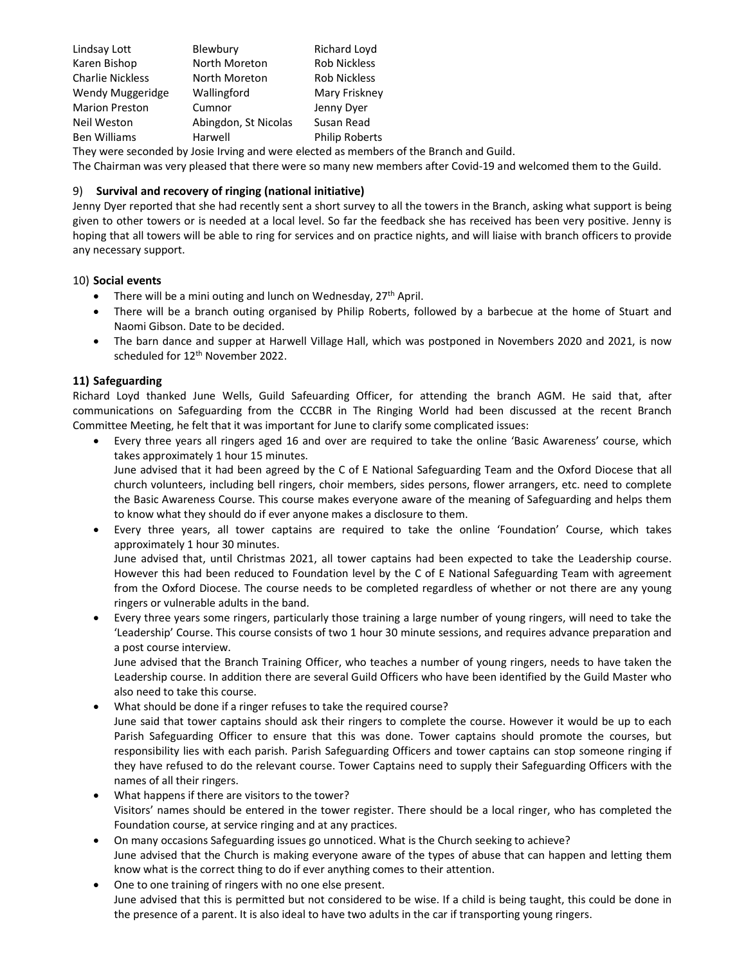| Lindsay Lott            | Blewbury             | Richard Loyd          |
|-------------------------|----------------------|-----------------------|
| Karen Bishop            | North Moreton        | <b>Rob Nickless</b>   |
| <b>Charlie Nickless</b> | North Moreton        | <b>Rob Nickless</b>   |
| Wendy Muggeridge        | Wallingford          | Mary Friskney         |
| <b>Marion Preston</b>   | Cumnor               | Jenny Dyer            |
| Neil Weston             | Abingdon, St Nicolas | Susan Read            |
| <b>Ben Williams</b>     | Harwell              | <b>Philip Roberts</b> |

They were seconded by Josie Irving and were elected as members of the Branch and Guild.

The Chairman was very pleased that there were so many new members after Covid-19 and welcomed them to the Guild.

## 9) Survival and recovery of ringing (national initiative)

Jenny Dyer reported that she had recently sent a short survey to all the towers in the Branch, asking what support is being given to other towers or is needed at a local level. So far the feedback she has received has been very positive. Jenny is hoping that all towers will be able to ring for services and on practice nights, and will liaise with branch officers to provide any necessary support.

## 10) Social events

- There will be a mini outing and lunch on Wednesday,  $27<sup>th</sup>$  April.
- There will be a branch outing organised by Philip Roberts, followed by a barbecue at the home of Stuart and Naomi Gibson. Date to be decided.
- The barn dance and supper at Harwell Village Hall, which was postponed in Novembers 2020 and 2021, is now scheduled for 12<sup>th</sup> November 2022.

## 11) Safeguarding

Richard Loyd thanked June Wells, Guild Safeuarding Officer, for attending the branch AGM. He said that, after communications on Safeguarding from the CCCBR in The Ringing World had been discussed at the recent Branch Committee Meeting, he felt that it was important for June to clarify some complicated issues:

 Every three years all ringers aged 16 and over are required to take the online 'Basic Awareness' course, which takes approximately 1 hour 15 minutes.

June advised that it had been agreed by the C of E National Safeguarding Team and the Oxford Diocese that all church volunteers, including bell ringers, choir members, sides persons, flower arrangers, etc. need to complete the Basic Awareness Course. This course makes everyone aware of the meaning of Safeguarding and helps them to know what they should do if ever anyone makes a disclosure to them.

 Every three years, all tower captains are required to take the online 'Foundation' Course, which takes approximately 1 hour 30 minutes.

June advised that, until Christmas 2021, all tower captains had been expected to take the Leadership course. However this had been reduced to Foundation level by the C of E National Safeguarding Team with agreement from the Oxford Diocese. The course needs to be completed regardless of whether or not there are any young ringers or vulnerable adults in the band.

 Every three years some ringers, particularly those training a large number of young ringers, will need to take the 'Leadership' Course. This course consists of two 1 hour 30 minute sessions, and requires advance preparation and a post course interview.

June advised that the Branch Training Officer, who teaches a number of young ringers, needs to have taken the Leadership course. In addition there are several Guild Officers who have been identified by the Guild Master who also need to take this course.

- What should be done if a ringer refuses to take the required course? June said that tower captains should ask their ringers to complete the course. However it would be up to each Parish Safeguarding Officer to ensure that this was done. Tower captains should promote the courses, but responsibility lies with each parish. Parish Safeguarding Officers and tower captains can stop someone ringing if they have refused to do the relevant course. Tower Captains need to supply their Safeguarding Officers with the names of all their ringers.
- What happens if there are visitors to the tower? Visitors' names should be entered in the tower register. There should be a local ringer, who has completed the Foundation course, at service ringing and at any practices.
- On many occasions Safeguarding issues go unnoticed. What is the Church seeking to achieve? June advised that the Church is making everyone aware of the types of abuse that can happen and letting them know what is the correct thing to do if ever anything comes to their attention.
- One to one training of ringers with no one else present. June advised that this is permitted but not considered to be wise. If a child is being taught, this could be done in the presence of a parent. It is also ideal to have two adults in the car if transporting young ringers.